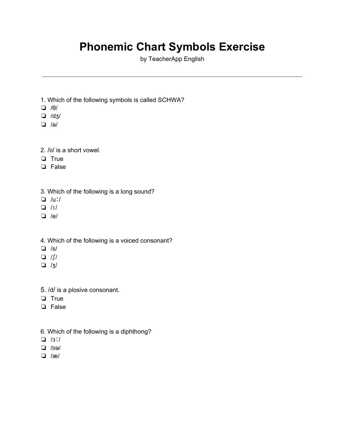## **Phonemic Chart Symbols Exercise**

by TeacherApp English

- 1. Which of the following symbols is called SCHWA?
- ❏ /θ/
- ❏ /dʒ/
- ❏ /ə/
- 2. /ʊ/ is a short vowel.
- ❏ True
- ❏ False
- 3. Which of the following is a long sound?
- ❏ /uː/
- ❏ /ɪ/
- ❏ /e/
- 4. Which of the following is a voiced consonant?
- ❏ /s/
- ❏ /ʃ/
- ❏ /ʒ/
- 5. /d/ is a plosive consonant.
- ❏ True
- ❏ False
- 6. Which of the following is a diphthong?
- ❏ /ɜː/
- ❏ /ʊə/
- ❏ /æ/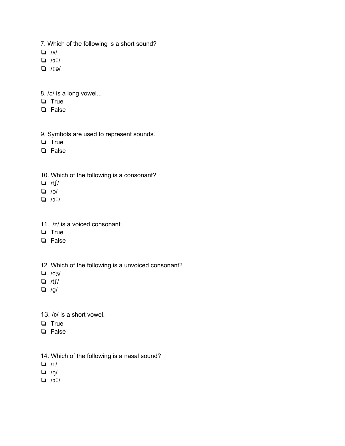- 7. Which of the following is a short sound?
- ❏ /ʌ/
- ❏ /ɑː/
- ❏ /ɪə/
- 8. /ə/ is a long vowel...
- ❏ True
- ❏ False
- 9. Symbols are used to represent sounds.
- ❏ True
- ❏ False
- 10. Which of the following is a consonant?
- ❏ /tʃ/
- ❏ /ə/
- ❏ /ɔː/
- 11. /z/ is a voiced consonant.
- ❏ True
- ❏ False
- 12. Which of the following is a unvoiced consonant?
- ❏ /dʒ/
- ❏ /tʃ/
- ❏ /g/
- 13. /ɒ/ is a short vowel.
- ❏ True
- ❏ False
- 14. Which of the following is a nasal sound?
- ❏ /ɪ/
- ❏ /ŋ/
- ❏ /ɔː/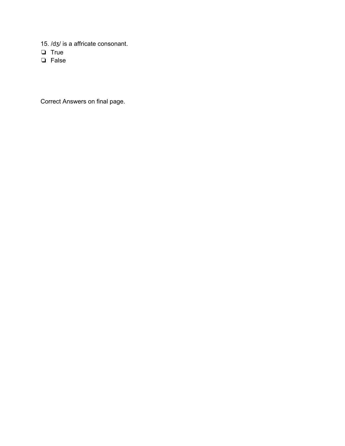- 15. /dʒ/ is a affricate consonant.
- $\Box$  True
- $\Box$  False

Correct Answers on final page.